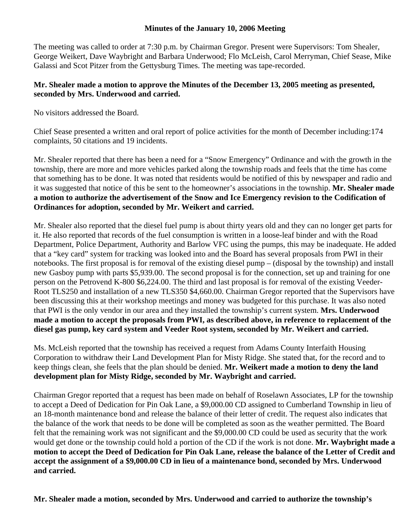## **Minutes of the January 10, 2006 Meeting**

The meeting was called to order at 7:30 p.m. by Chairman Gregor. Present were Supervisors: Tom Shealer, George Weikert, Dave Waybright and Barbara Underwood; Flo McLeish, Carol Merryman, Chief Sease, Mike Galassi and Scot Pitzer from the Gettysburg Times. The meeting was tape-recorded.

## **Mr. Shealer made a motion to approve the Minutes of the December 13, 2005 meeting as presented, seconded by Mrs. Underwood and carried.**

No visitors addressed the Board.

Chief Sease presented a written and oral report of police activities for the month of December including:174 complaints, 50 citations and 19 incidents.

Mr. Shealer reported that there has been a need for a "Snow Emergency" Ordinance and with the growth in the township, there are more and more vehicles parked along the township roads and feels that the time has come that something has to be done. It was noted that residents would be notified of this by newspaper and radio and it was suggested that notice of this be sent to the homeowner's associations in the township. **Mr. Shealer made a motion to authorize the advertisement of the Snow and Ice Emergency revision to the Codification of Ordinances for adoption, seconded by Mr. Weikert and carried.** 

Mr. Shealer also reported that the diesel fuel pump is about thirty years old and they can no longer get parts for it. He also reported that records of the fuel consumption is written in a loose-leaf binder and with the Road Department, Police Department, Authority and Barlow VFC using the pumps, this may be inadequate. He added that a "key card" system for tracking was looked into and the Board has several proposals from PWI in their notebooks. The first proposal is for removal of the existing diesel pump – (disposal by the township) and install new Gasboy pump with parts \$5,939.00. The second proposal is for the connection, set up and training for one person on the Petrovend K-800 \$6,224.00. The third and last proposal is for removal of the existing Veeder-Root TLS250 and installation of a new TLS350 \$4,660.00. Chairman Gregor reported that the Supervisors have been discussing this at their workshop meetings and money was budgeted for this purchase. It was also noted that PWI is the only vendor in our area and they installed the township's current system. **Mrs. Underwood made a motion to accept the proposals from PWI, as described above, in reference to replacement of the diesel gas pump, key card system and Veeder Root system, seconded by Mr. Weikert and carried.** 

Ms. McLeish reported that the township has received a request from Adams County Interfaith Housing Corporation to withdraw their Land Development Plan for Misty Ridge. She stated that, for the record and to keep things clean, she feels that the plan should be denied. **Mr. Weikert made a motion to deny the land development plan for Misty Ridge, seconded by Mr. Waybright and carried.** 

Chairman Gregor reported that a request has been made on behalf of Roselawn Associates, LP for the township to accept a Deed of Dedication for Pin Oak Lane, a \$9,000.00 CD assigned to Cumberland Township in lieu of an 18-month maintenance bond and release the balance of their letter of credit. The request also indicates that the balance of the work that needs to be done will be completed as soon as the weather permitted. The Board felt that the remaining work was not significant and the \$9,000.00 CD could be used as security that the work would get done or the township could hold a portion of the CD if the work is not done. **Mr. Waybright made a motion to accept the Deed of Dedication for Pin Oak Lane, release the balance of the Letter of Credit and accept the assignment of a \$9,000.00 CD in lieu of a maintenance bond, seconded by Mrs. Underwood and carried.** 

**Mr. Shealer made a motion, seconded by Mrs. Underwood and carried to authorize the township's**